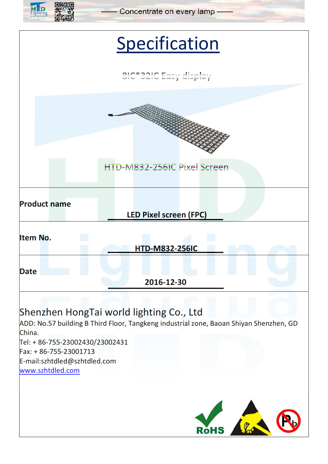

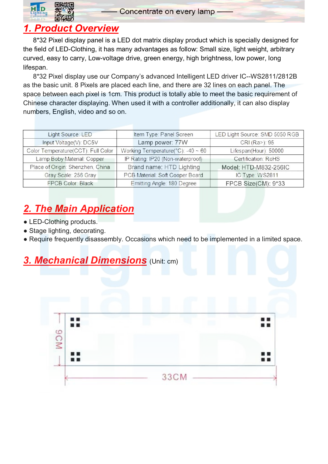

## *1. Product Overview*

8\*32 Pixel display panel is a LED dot matrix display product which is specially designed for the field of LED-Clothing, it has many advantages as follow: Small size, light weight, arbitrary curved, easy to carry, Low-voltage drive, green energy, high brightness, low power, long lifespan.

8\*32 Pixel display use our Company's advanced Intelligent LED driver IC--WS2811/2812B as the basic unit. 8 Pixels are placed each line, and there are 32 lines on each panel. The space between each pixel is 1cm. This product is totally able to meet the basic requirement of Chinese character displaying. When used it with a controller additionally, it can also display numbers, English, video and so on.

| Light Source: LED                  | Item Type: Panel Screen                      | LED Light Source: SMD 5050 RGB |  |  |  |
|------------------------------------|----------------------------------------------|--------------------------------|--|--|--|
| Input Voltage(V): DC5V             | Lamp power: 77W                              | CRI (Ra >): 95                 |  |  |  |
| Color Temperature(CCT): Full Color | Working Temperature( $^{\circ}$ C): -40 ~ 60 | Lifespan(Hour): 50000          |  |  |  |
| Lamp Boby Material: Copper         | IP Rating: IP20 (Non-waterproof)             | Certification: RoHS            |  |  |  |
| Place of Origin: Shenzhen, China   | Brand name: HTD Lighting                     | Model: HTD-M832-256IC          |  |  |  |
| Gray Scale: 256 Gray               | PCB Material: Soft Cooper Board              | IC Type: WS2811                |  |  |  |
| <b>FPCB Color: Black</b>           | Emitting Angle: 180 Degree                   | FPCB Size(CM): 9*33            |  |  |  |

## *2. The Main Application*

- LED-Clothing products.
- Stage lighting, decorating.
- Require frequently disassembly. Occasions which need to be implemented in a limited space.

## *3. Mechanical Dimensions* (Unit: cm)

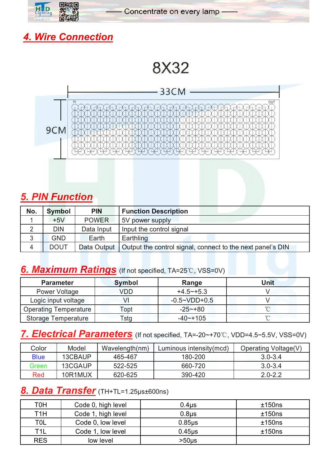

## *4. Wire Connection*

# 8X32



## *5. PIN Function*

| No. | <b>Symbol</b> | <b>PIN</b>   | <b>Function Description</b>                                              |
|-----|---------------|--------------|--------------------------------------------------------------------------|
|     | $+5V$         | <b>POWER</b> | 5V power supply                                                          |
|     | DIN           | Data Input   | Input the control signal                                                 |
|     | GND           | Earth        | Earthling                                                                |
| 4   | <b>DOUT</b>   |              | Data Output   Output the control signal, connect to the next panel's DIN |

#### **6. Maximum Ratings** (If not specified, TA=25℃, VSS=0V)

| <b>Parameter</b>             | Symbol | Range                 | Unit |
|------------------------------|--------|-----------------------|------|
| Power Voltage                | VDD    | $+4.5^{-}+5.3$        |      |
| Logic input voltage          |        | $-0.5 \sim VDD + 0.5$ |      |
| <b>Operating Temperature</b> | ⊺opt   | $-25$ ~+80            |      |
| <b>Storage Temperature</b>   | ™stq   | $-40$ $-105$          |      |

#### 7. **Electrical Parameters** (If not specified, TA=-20~+70℃, VDD=4.5~5.5V, VSS=0V)

| Color       | Model   | Wavelength(nm) | Luminous intensity (mcd) | Operating Voltage(V) |  |  |  |
|-------------|---------|----------------|--------------------------|----------------------|--|--|--|
| <b>Blue</b> | 13CBAUP | 465-467        | 180-200                  | $3.0 - 3.4$          |  |  |  |
| Green       | 13CGAUP | 522-525        | 660-720                  | $3.0 - 3.4$          |  |  |  |
| Red         | 10R1MUX | 620-625        | 390-420                  | $2.0 - 2.2$          |  |  |  |

## *8. Data Transfer* (TH+TL=1.25μs±600ns)

| T0H              | Code 0, high level | 0.4 <sub>µ</sub>  | ±150ns |
|------------------|--------------------|-------------------|--------|
| T <sub>1</sub> H | Code 1, high level | 0.8 <sub>µ</sub>  | ±150ns |
| T <sub>0</sub> L | Code 0, low level  | 0.85 <sub>µ</sub> | ±150ns |
| T <sub>1</sub> L | Code 1, low level  | 0.45 <sub>µ</sub> | ±150ns |
| <b>RES</b>       | low level          | $>50\,\mu s$      |        |